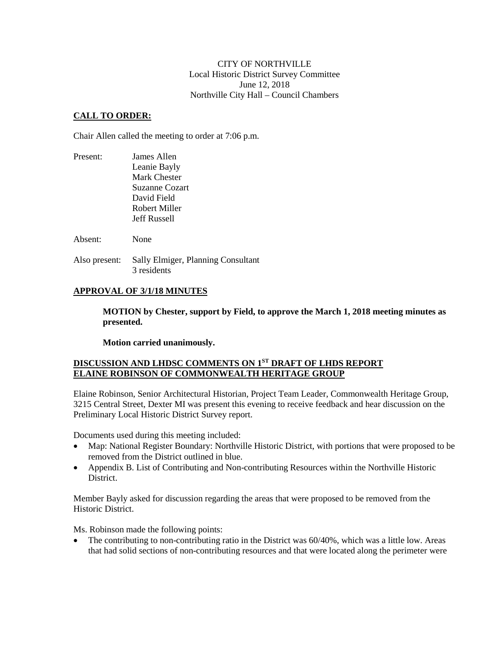## CITY OF NORTHVILLE Local Historic District Survey Committee June 12, 2018 Northville City Hall – Council Chambers

## **CALL TO ORDER:**

Chair Allen called the meeting to order at 7:06 p.m.

| Present: | James Allen           |  |
|----------|-----------------------|--|
|          | Leanie Bayly          |  |
|          | Mark Chester          |  |
|          | <b>Suzanne Cozart</b> |  |
|          | David Field           |  |
|          | Robert Miller         |  |
|          | <b>Jeff Russell</b>   |  |
| Absent:  | None                  |  |
|          |                       |  |

Also present: Sally Elmiger, Planning Consultant 3 residents

# **APPROVAL OF 3/1/18 MINUTES**

**MOTION by Chester, support by Field, to approve the March 1, 2018 meeting minutes as presented.**

**Motion carried unanimously.**

# **DISCUSSION AND LHDSC COMMENTS ON 1ST DRAFT OF LHDS REPORT ELAINE ROBINSON OF COMMONWEALTH HERITAGE GROUP**

Elaine Robinson, Senior Architectural Historian, Project Team Leader, Commonwealth Heritage Group, 3215 Central Street, Dexter MI was present this evening to receive feedback and hear discussion on the Preliminary Local Historic District Survey report.

Documents used during this meeting included:

- Map: National Register Boundary: Northville Historic District, with portions that were proposed to be removed from the District outlined in blue.
- Appendix B. List of Contributing and Non-contributing Resources within the Northville Historic District.

Member Bayly asked for discussion regarding the areas that were proposed to be removed from the Historic District.

Ms. Robinson made the following points:

• The contributing to non-contributing ratio in the District was 60/40%, which was a little low. Areas that had solid sections of non-contributing resources and that were located along the perimeter were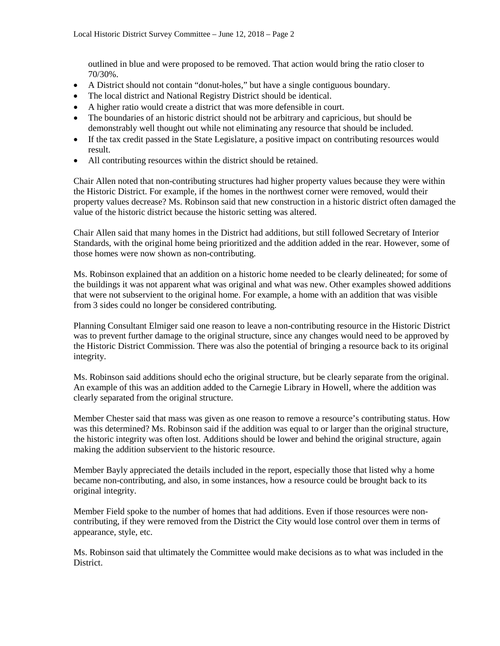outlined in blue and were proposed to be removed. That action would bring the ratio closer to 70/30%.

- A District should not contain "donut-holes," but have a single contiguous boundary.
- The local district and National Registry District should be identical.
- A higher ratio would create a district that was more defensible in court.
- The boundaries of an historic district should not be arbitrary and capricious, but should be demonstrably well thought out while not eliminating any resource that should be included.
- If the tax credit passed in the State Legislature, a positive impact on contributing resources would result.
- All contributing resources within the district should be retained.

Chair Allen noted that non-contributing structures had higher property values because they were within the Historic District. For example, if the homes in the northwest corner were removed, would their property values decrease? Ms. Robinson said that new construction in a historic district often damaged the value of the historic district because the historic setting was altered.

Chair Allen said that many homes in the District had additions, but still followed Secretary of Interior Standards, with the original home being prioritized and the addition added in the rear. However, some of those homes were now shown as non-contributing.

Ms. Robinson explained that an addition on a historic home needed to be clearly delineated; for some of the buildings it was not apparent what was original and what was new. Other examples showed additions that were not subservient to the original home. For example, a home with an addition that was visible from 3 sides could no longer be considered contributing.

Planning Consultant Elmiger said one reason to leave a non-contributing resource in the Historic District was to prevent further damage to the original structure, since any changes would need to be approved by the Historic District Commission. There was also the potential of bringing a resource back to its original integrity.

Ms. Robinson said additions should echo the original structure, but be clearly separate from the original. An example of this was an addition added to the Carnegie Library in Howell, where the addition was clearly separated from the original structure.

Member Chester said that mass was given as one reason to remove a resource's contributing status. How was this determined? Ms. Robinson said if the addition was equal to or larger than the original structure, the historic integrity was often lost. Additions should be lower and behind the original structure, again making the addition subservient to the historic resource.

Member Bayly appreciated the details included in the report, especially those that listed why a home became non-contributing, and also, in some instances, how a resource could be brought back to its original integrity.

Member Field spoke to the number of homes that had additions. Even if those resources were noncontributing, if they were removed from the District the City would lose control over them in terms of appearance, style, etc.

Ms. Robinson said that ultimately the Committee would make decisions as to what was included in the District.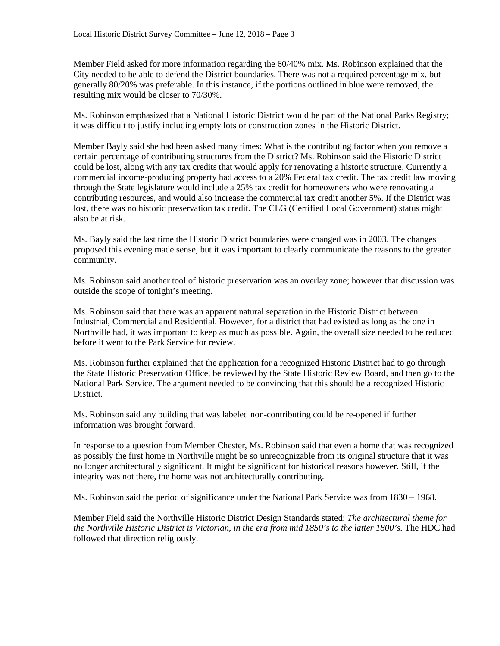Member Field asked for more information regarding the 60/40% mix. Ms. Robinson explained that the City needed to be able to defend the District boundaries. There was not a required percentage mix, but generally 80/20% was preferable. In this instance, if the portions outlined in blue were removed, the resulting mix would be closer to 70/30%.

Ms. Robinson emphasized that a National Historic District would be part of the National Parks Registry; it was difficult to justify including empty lots or construction zones in the Historic District.

Member Bayly said she had been asked many times: What is the contributing factor when you remove a certain percentage of contributing structures from the District? Ms. Robinson said the Historic District could be lost, along with any tax credits that would apply for renovating a historic structure. Currently a commercial income-producing property had access to a 20% Federal tax credit. The tax credit law moving through the State legislature would include a 25% tax credit for homeowners who were renovating a contributing resources, and would also increase the commercial tax credit another 5%. If the District was lost, there was no historic preservation tax credit. The CLG (Certified Local Government) status might also be at risk.

Ms. Bayly said the last time the Historic District boundaries were changed was in 2003. The changes proposed this evening made sense, but it was important to clearly communicate the reasons to the greater community.

Ms. Robinson said another tool of historic preservation was an overlay zone; however that discussion was outside the scope of tonight's meeting.

Ms. Robinson said that there was an apparent natural separation in the Historic District between Industrial, Commercial and Residential. However, for a district that had existed as long as the one in Northville had, it was important to keep as much as possible. Again, the overall size needed to be reduced before it went to the Park Service for review.

Ms. Robinson further explained that the application for a recognized Historic District had to go through the State Historic Preservation Office, be reviewed by the State Historic Review Board, and then go to the National Park Service. The argument needed to be convincing that this should be a recognized Historic District.

Ms. Robinson said any building that was labeled non-contributing could be re-opened if further information was brought forward.

In response to a question from Member Chester, Ms. Robinson said that even a home that was recognized as possibly the first home in Northville might be so unrecognizable from its original structure that it was no longer architecturally significant. It might be significant for historical reasons however. Still, if the integrity was not there, the home was not architecturally contributing.

Ms. Robinson said the period of significance under the National Park Service was from 1830 – 1968.

Member Field said the Northville Historic District Design Standards stated: *The architectural theme for the Northville Historic District is Victorian, in the era from mid 1850's to the latter 1800's.* The HDC had followed that direction religiously.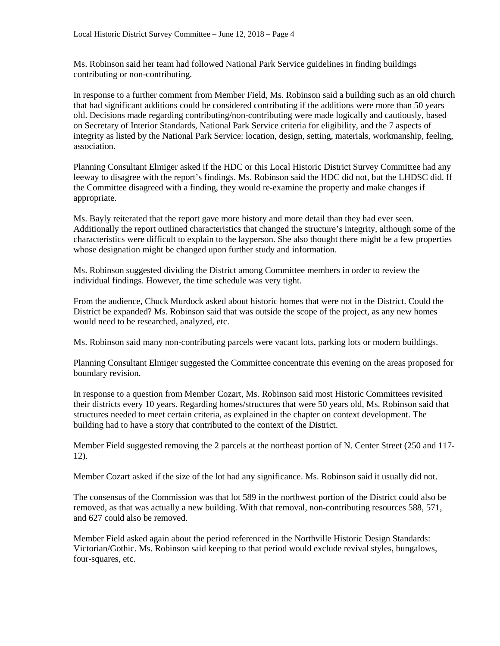Ms. Robinson said her team had followed National Park Service guidelines in finding buildings contributing or non-contributing.

In response to a further comment from Member Field, Ms. Robinson said a building such as an old church that had significant additions could be considered contributing if the additions were more than 50 years old. Decisions made regarding contributing/non-contributing were made logically and cautiously, based on Secretary of Interior Standards, National Park Service criteria for eligibility, and the 7 aspects of integrity as listed by the National Park Service: location, design, setting, materials, workmanship, feeling, association.

Planning Consultant Elmiger asked if the HDC or this Local Historic District Survey Committee had any leeway to disagree with the report's findings. Ms. Robinson said the HDC did not, but the LHDSC did. If the Committee disagreed with a finding, they would re-examine the property and make changes if appropriate.

Ms. Bayly reiterated that the report gave more history and more detail than they had ever seen. Additionally the report outlined characteristics that changed the structure's integrity, although some of the characteristics were difficult to explain to the layperson. She also thought there might be a few properties whose designation might be changed upon further study and information.

Ms. Robinson suggested dividing the District among Committee members in order to review the individual findings. However, the time schedule was very tight.

From the audience, Chuck Murdock asked about historic homes that were not in the District. Could the District be expanded? Ms. Robinson said that was outside the scope of the project, as any new homes would need to be researched, analyzed, etc.

Ms. Robinson said many non-contributing parcels were vacant lots, parking lots or modern buildings.

Planning Consultant Elmiger suggested the Committee concentrate this evening on the areas proposed for boundary revision.

In response to a question from Member Cozart, Ms. Robinson said most Historic Committees revisited their districts every 10 years. Regarding homes/structures that were 50 years old, Ms. Robinson said that structures needed to meet certain criteria, as explained in the chapter on context development. The building had to have a story that contributed to the context of the District.

Member Field suggested removing the 2 parcels at the northeast portion of N. Center Street (250 and 117- 12).

Member Cozart asked if the size of the lot had any significance. Ms. Robinson said it usually did not.

The consensus of the Commission was that lot 589 in the northwest portion of the District could also be removed, as that was actually a new building. With that removal, non-contributing resources 588, 571, and 627 could also be removed.

Member Field asked again about the period referenced in the Northville Historic Design Standards: Victorian/Gothic. Ms. Robinson said keeping to that period would exclude revival styles, bungalows, four-squares, etc.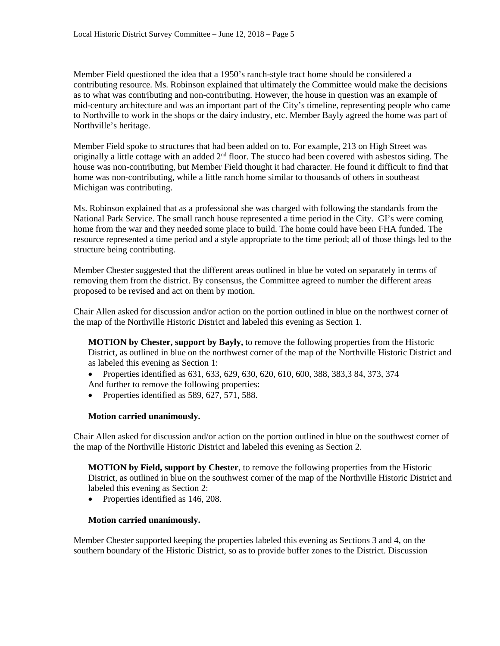Member Field questioned the idea that a 1950's ranch-style tract home should be considered a contributing resource. Ms. Robinson explained that ultimately the Committee would make the decisions as to what was contributing and non-contributing. However, the house in question was an example of mid-century architecture and was an important part of the City's timeline, representing people who came to Northville to work in the shops or the dairy industry, etc. Member Bayly agreed the home was part of Northville's heritage.

Member Field spoke to structures that had been added on to. For example, 213 on High Street was originally a little cottage with an added  $2<sup>nd</sup>$  floor. The stucco had been covered with asbestos siding. The house was non-contributing, but Member Field thought it had character. He found it difficult to find that home was non-contributing, while a little ranch home similar to thousands of others in southeast Michigan was contributing.

Ms. Robinson explained that as a professional she was charged with following the standards from the National Park Service. The small ranch house represented a time period in the City. GI's were coming home from the war and they needed some place to build. The home could have been FHA funded. The resource represented a time period and a style appropriate to the time period; all of those things led to the structure being contributing.

Member Chester suggested that the different areas outlined in blue be voted on separately in terms of removing them from the district. By consensus, the Committee agreed to number the different areas proposed to be revised and act on them by motion.

Chair Allen asked for discussion and/or action on the portion outlined in blue on the northwest corner of the map of the Northville Historic District and labeled this evening as Section 1.

**MOTION by Chester, support by Bayly,** to remove the following properties from the Historic District, as outlined in blue on the northwest corner of the map of the Northville Historic District and as labeled this evening as Section 1:

- Properties identified as 631, 633, 629, 630, 620, 610, 600, 388, 383, 384, 373, 374 And further to remove the following properties:
- Properties identified as 589, 627, 571, 588.

#### **Motion carried unanimously.**

Chair Allen asked for discussion and/or action on the portion outlined in blue on the southwest corner of the map of the Northville Historic District and labeled this evening as Section 2.

**MOTION by Field, support by Chester**, to remove the following properties from the Historic District, as outlined in blue on the southwest corner of the map of the Northville Historic District and labeled this evening as Section 2:

• Properties identified as 146, 208.

#### **Motion carried unanimously.**

Member Chester supported keeping the properties labeled this evening as Sections 3 and 4, on the southern boundary of the Historic District, so as to provide buffer zones to the District. Discussion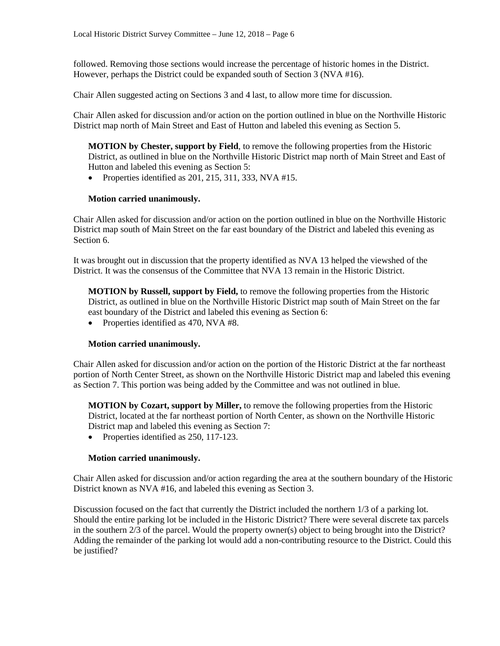followed. Removing those sections would increase the percentage of historic homes in the District. However, perhaps the District could be expanded south of Section 3 (NVA #16).

Chair Allen suggested acting on Sections 3 and 4 last, to allow more time for discussion.

Chair Allen asked for discussion and/or action on the portion outlined in blue on the Northville Historic District map north of Main Street and East of Hutton and labeled this evening as Section 5.

**MOTION by Chester, support by Field**, to remove the following properties from the Historic District, as outlined in blue on the Northville Historic District map north of Main Street and East of Hutton and labeled this evening as Section 5:

• Properties identified as  $201$ ,  $215$ ,  $311$ ,  $333$ , NVA  $#15$ .

### **Motion carried unanimously.**

Chair Allen asked for discussion and/or action on the portion outlined in blue on the Northville Historic District map south of Main Street on the far east boundary of the District and labeled this evening as Section 6.

It was brought out in discussion that the property identified as NVA 13 helped the viewshed of the District. It was the consensus of the Committee that NVA 13 remain in the Historic District.

**MOTION by Russell, support by Field,** to remove the following properties from the Historic District, as outlined in blue on the Northville Historic District map south of Main Street on the far east boundary of the District and labeled this evening as Section 6:

• Properties identified as 470, NVA #8.

### **Motion carried unanimously.**

Chair Allen asked for discussion and/or action on the portion of the Historic District at the far northeast portion of North Center Street, as shown on the Northville Historic District map and labeled this evening as Section 7. This portion was being added by the Committee and was not outlined in blue.

**MOTION by Cozart, support by Miller,** to remove the following properties from the Historic District, located at the far northeast portion of North Center, as shown on the Northville Historic District map and labeled this evening as Section 7:

• Properties identified as 250, 117-123.

#### **Motion carried unanimously.**

Chair Allen asked for discussion and/or action regarding the area at the southern boundary of the Historic District known as NVA #16, and labeled this evening as Section 3.

Discussion focused on the fact that currently the District included the northern 1/3 of a parking lot. Should the entire parking lot be included in the Historic District? There were several discrete tax parcels in the southern 2/3 of the parcel. Would the property owner(s) object to being brought into the District? Adding the remainder of the parking lot would add a non-contributing resource to the District. Could this be justified?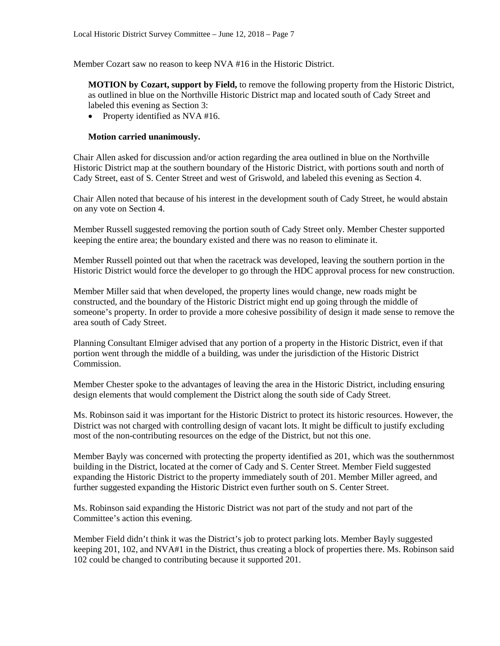Member Cozart saw no reason to keep NVA #16 in the Historic District.

**MOTION by Cozart, support by Field,** to remove the following property from the Historic District, as outlined in blue on the Northville Historic District map and located south of Cady Street and labeled this evening as Section 3:

• Property identified as NVA #16.

#### **Motion carried unanimously.**

Chair Allen asked for discussion and/or action regarding the area outlined in blue on the Northville Historic District map at the southern boundary of the Historic District, with portions south and north of Cady Street, east of S. Center Street and west of Griswold, and labeled this evening as Section 4.

Chair Allen noted that because of his interest in the development south of Cady Street, he would abstain on any vote on Section 4.

Member Russell suggested removing the portion south of Cady Street only. Member Chester supported keeping the entire area; the boundary existed and there was no reason to eliminate it.

Member Russell pointed out that when the racetrack was developed, leaving the southern portion in the Historic District would force the developer to go through the HDC approval process for new construction.

Member Miller said that when developed, the property lines would change, new roads might be constructed, and the boundary of the Historic District might end up going through the middle of someone's property. In order to provide a more cohesive possibility of design it made sense to remove the area south of Cady Street.

Planning Consultant Elmiger advised that any portion of a property in the Historic District, even if that portion went through the middle of a building, was under the jurisdiction of the Historic District Commission.

Member Chester spoke to the advantages of leaving the area in the Historic District, including ensuring design elements that would complement the District along the south side of Cady Street.

Ms. Robinson said it was important for the Historic District to protect its historic resources. However, the District was not charged with controlling design of vacant lots. It might be difficult to justify excluding most of the non-contributing resources on the edge of the District, but not this one.

Member Bayly was concerned with protecting the property identified as 201, which was the southernmost building in the District, located at the corner of Cady and S. Center Street. Member Field suggested expanding the Historic District to the property immediately south of 201. Member Miller agreed, and further suggested expanding the Historic District even further south on S. Center Street.

Ms. Robinson said expanding the Historic District was not part of the study and not part of the Committee's action this evening.

Member Field didn't think it was the District's job to protect parking lots. Member Bayly suggested keeping 201, 102, and NVA#1 in the District, thus creating a block of properties there. Ms. Robinson said 102 could be changed to contributing because it supported 201.